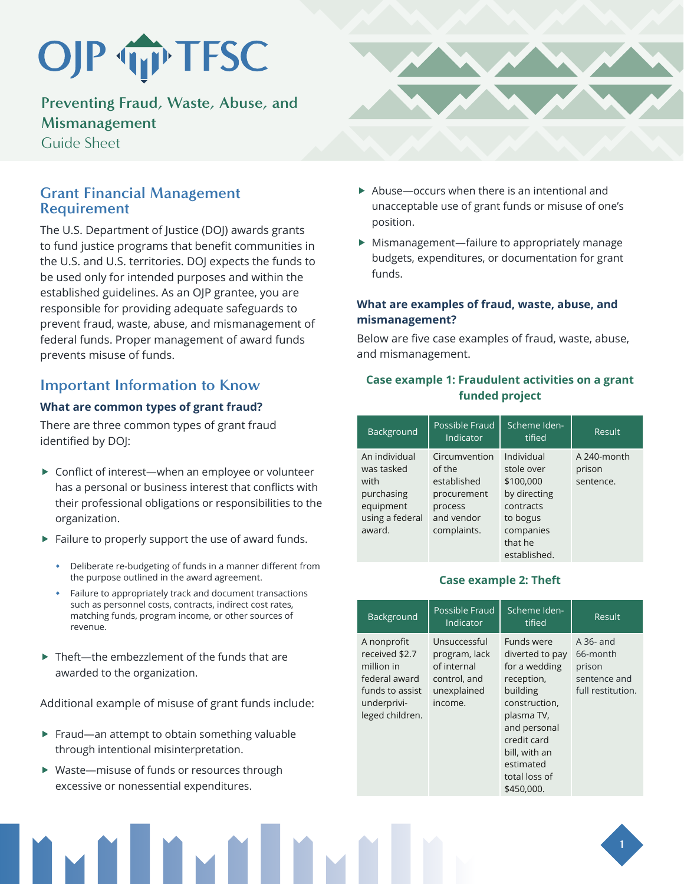# OJP TFSC

**Preventing Fraud, Waste, Abuse, and Mismanagement**  Guide Sheet

**Grant Financial Management Requirement** 

The U.S. Department of Justice (DOJ) awards grants to fund justice programs that benefit communities in the U.S. and U.S. territories. DOJ expects the funds to be used only for intended purposes and within the established guidelines. As an OJP grantee, you are responsible for providing adequate safeguards to prevent fraud, waste, abuse, and mismanagement of federal funds. Proper management of award funds prevents misuse of funds.

# **Important Information to Know**

## **What are common types of grant fraud?**

There are three common types of grant fraud identified by DOJ:

- $\triangleright$  Conflict of interest—when an employee or volunteer has a personal or business interest that conflicts with their professional obligations or responsibilities to the organization.
- $\blacktriangleright$  Failure to properly support the use of award funds.
	- Deliberate re-budgeting of funds in a manner different from the purpose outlined in the award agreement.
	- Failure to appropriately track and document transactions such as personnel costs, contracts, indirect cost rates, matching funds, program income, or other sources of revenue.
- $\blacktriangleright$  Theft—the embezzlement of the funds that are awarded to the organization.

Additional example of misuse of grant funds include:

- $\blacktriangleright$  Fraud—an attempt to obtain something valuable through intentional misinterpretation.
- $\blacktriangleright$  Waste—misuse of funds or resources through excessive or nonessential expenditures.



- $\blacktriangleright$  Abuse—occurs when there is an intentional and unacceptable use of grant funds or misuse of one's position.
- $\blacktriangleright$  Mismanagement—failure to appropriately manage budgets, expenditures, or documentation for grant funds.

## **What are examples of fraud, waste, abuse, and mismanagement?**

Below are five case examples of fraud, waste, abuse, and mismanagement.

## **Case example 1: Fraudulent activities on a grant funded project**

| Background      | Possible Fraud<br>Indicator | Scheme Iden-<br>tified | Result      |
|-----------------|-----------------------------|------------------------|-------------|
| An individual   | Circumvention               | Individual             | A 240-month |
| was tasked      | of the                      | stole over             | prison      |
| with            | established                 | \$100,000              | sentence.   |
| purchasing      | procurement                 | by directing           |             |
| equipment       | process                     | contracts              |             |
| using a federal | and vendor                  | to bogus               |             |
| award.          | complaints.                 | companies              |             |
|                 |                             | that he                |             |
|                 |                             | established.           |             |

## **Case example 2: Theft**

| Background                                                                                                        | Possible Fraud<br>Indicator                                                            | Scheme Iden-<br>tified                                                                                                                                                                              | Result                                                                 |
|-------------------------------------------------------------------------------------------------------------------|----------------------------------------------------------------------------------------|-----------------------------------------------------------------------------------------------------------------------------------------------------------------------------------------------------|------------------------------------------------------------------------|
| A nonprofit<br>received \$2.7<br>million in<br>federal award<br>funds to assist<br>underprivi-<br>leged children. | Unsuccessful<br>program, lack<br>of internal<br>control, and<br>unexplained<br>income. | Funds were<br>diverted to pay<br>for a wedding<br>reception,<br>building<br>construction,<br>plasma TV,<br>and personal<br>credit card<br>bill, with an<br>estimated<br>total loss of<br>\$450,000. | $A$ 36- and<br>66-month<br>prison<br>sentence and<br>full restitution. |

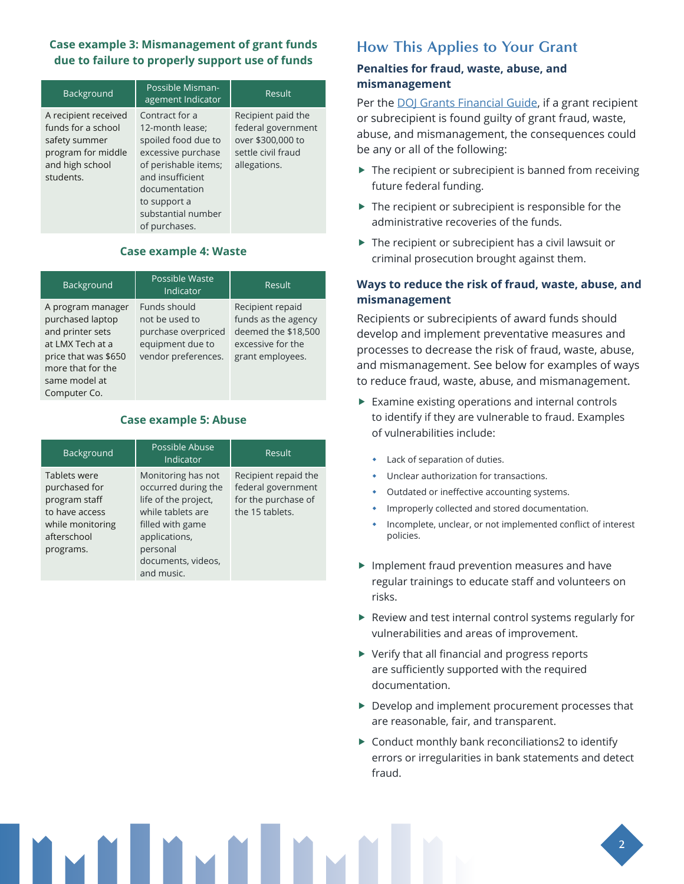## **Case example 3: Mismanagement of grant funds due to failure to properly support use of funds**

| Background                                                                                                        | Possible Misman-<br>agement Indicator                                                                                                                                                              | Result                                                                                              |
|-------------------------------------------------------------------------------------------------------------------|----------------------------------------------------------------------------------------------------------------------------------------------------------------------------------------------------|-----------------------------------------------------------------------------------------------------|
| A recipient received<br>funds for a school<br>safety summer<br>program for middle<br>and high school<br>students. | Contract for a<br>12-month lease;<br>spoiled food due to<br>excessive purchase<br>of perishable items;<br>and insufficient<br>documentation<br>to support a<br>substantial number<br>of purchases. | Recipient paid the<br>federal government<br>over \$300,000 to<br>settle civil fraud<br>allegations. |

#### **Case example 4: Waste**

| Background                                                                                                                 | <b>Possible Waste</b><br>Indicator                                                               | Result                                                                                                  |
|----------------------------------------------------------------------------------------------------------------------------|--------------------------------------------------------------------------------------------------|---------------------------------------------------------------------------------------------------------|
| A program manager<br>purchased laptop<br>and printer sets<br>at LMX Tech at a<br>price that was \$650<br>more that for the | Funds should<br>not be used to<br>purchase overpriced<br>equipment due to<br>vendor preferences. | Recipient repaid<br>funds as the agency<br>deemed the \$18,500<br>excessive for the<br>grant employees. |
| same model at<br>Computer Co.                                                                                              |                                                                                                  |                                                                                                         |

### **Case example 5: Abuse**

| Background                                                                                                              | Possible Abuse<br>Indicator                                                                                                                                                 | Result                                                                               |
|-------------------------------------------------------------------------------------------------------------------------|-----------------------------------------------------------------------------------------------------------------------------------------------------------------------------|--------------------------------------------------------------------------------------|
| <b>Tablets were</b><br>purchased for<br>program staff<br>to have access<br>while monitoring<br>afterschool<br>programs. | Monitoring has not<br>occurred during the<br>life of the project,<br>while tablets are<br>filled with game<br>applications,<br>personal<br>documents, videos,<br>and music. | Recipient repaid the<br>federal government<br>for the purchase of<br>the 15 tablets. |

# **How This Applies to Your Grant**

## **Penalties for fraud, waste, abuse, and mismanagement**

Per the [DOJ Grants Financial Guide](https://www.ojp.gov/funding/financialguidedoj/iii-postaward-requirements#1tzqsr), if a grant recipient or subrecipient is found guilty of grant fraud, waste, abuse, and mismanagement, the consequences could be any or all of the following:

- $\blacktriangleright$  The recipient or subrecipient is banned from receiving future federal funding.
- $\blacktriangleright$  The recipient or subrecipient is responsible for the administrative recoveries of the funds.
- $\blacktriangleright$  The recipient or subrecipient has a civil lawsuit or criminal prosecution brought against them.

## **Ways to reduce the risk of fraud, waste, abuse, and mismanagement**

Recipients or subrecipients of award funds should develop and implement preventative measures and processes to decrease the risk of fraud, waste, abuse, and mismanagement. See below for examples of ways to reduce fraud, waste, abuse, and mismanagement.

- $\blacktriangleright$  Examine existing operations and internal controls to identify if they are vulnerable to fraud. Examples of vulnerabilities include:
	- Lack of separation of duties.
	- Unclear authorization for transactions.
	- Outdated or ineffective accounting systems.
	- Improperly collected and stored documentation.
	- Incomplete, unclear, or not implemented conflict of interest policies.
- $\blacktriangleright$  Implement fraud prevention measures and have regular trainings to educate staff and volunteers on risks.
- $\blacktriangleright$  Review and test internal control systems regularly for vulnerabilities and areas of improvement.
- $\blacktriangleright$  Verify that all financial and progress reports are sufficiently supported with the required documentation.
- $\blacktriangleright$  Develop and implement procurement processes that are reasonable, fair, and transparent.
- $\triangleright$  Conduct monthly bank reconciliations2 to identify errors or irregularities in bank statements and detect fraud.

**2**